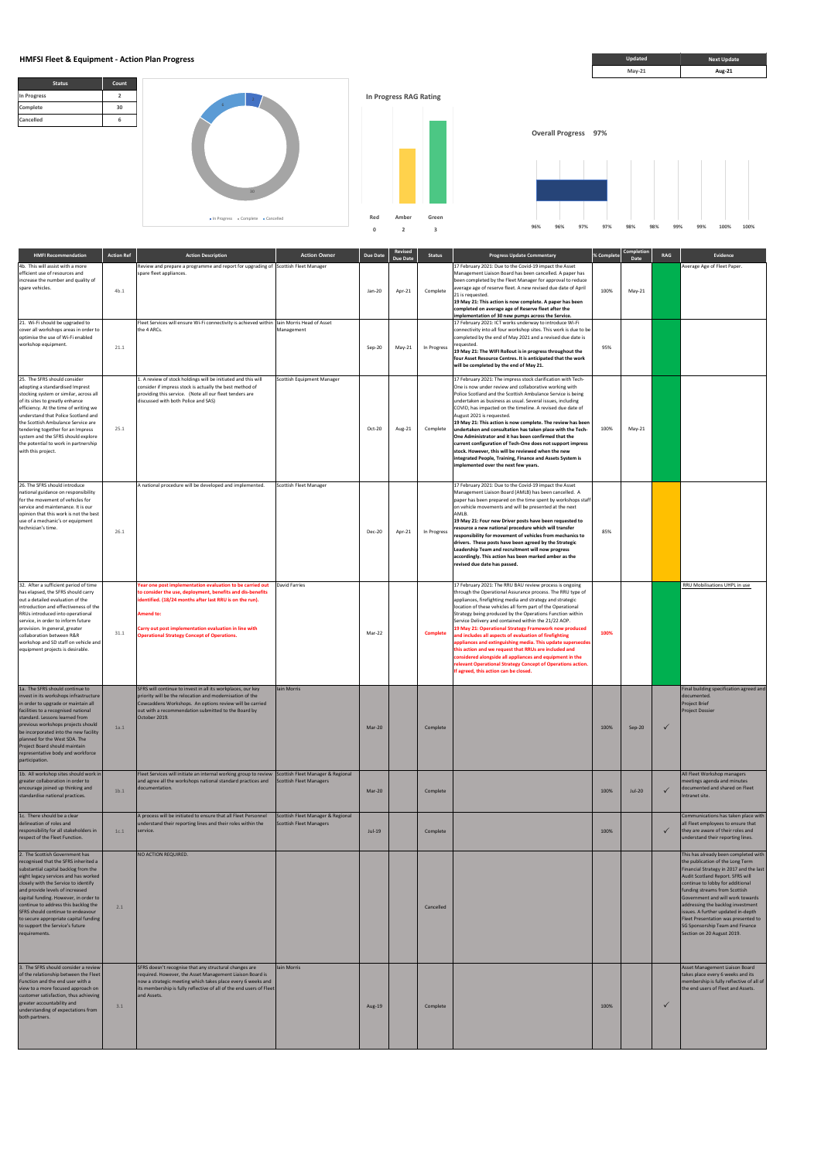**Status Count** 

**Red Amber Green**





 $\blacksquare$  In Progress  $\blacksquare$  Complete  $\blacksquare$  Cancelled

|                                                                                                                                                                                                                                                                                                                                                                                                             |                   |                                                                                                                                                                                                                                                                                                                |                                                                     | $\Omega$        | $\overline{2}$             | $\overline{\mathbf{3}}$ | 96%<br>96%<br>97%                                                                                                                                                                                                                                                                                                                                                                                                                                                                                                                                                                                                                                                                                                                                                                      | 97%        | 98%                | 98%<br>99%   | 100%<br>100%<br>99%                                                                                                                                 |
|-------------------------------------------------------------------------------------------------------------------------------------------------------------------------------------------------------------------------------------------------------------------------------------------------------------------------------------------------------------------------------------------------------------|-------------------|----------------------------------------------------------------------------------------------------------------------------------------------------------------------------------------------------------------------------------------------------------------------------------------------------------------|---------------------------------------------------------------------|-----------------|----------------------------|-------------------------|----------------------------------------------------------------------------------------------------------------------------------------------------------------------------------------------------------------------------------------------------------------------------------------------------------------------------------------------------------------------------------------------------------------------------------------------------------------------------------------------------------------------------------------------------------------------------------------------------------------------------------------------------------------------------------------------------------------------------------------------------------------------------------------|------------|--------------------|--------------|-----------------------------------------------------------------------------------------------------------------------------------------------------|
| <b>HMFI Recommendation</b>                                                                                                                                                                                                                                                                                                                                                                                  | <b>Action Ref</b> | <b>Action Description</b>                                                                                                                                                                                                                                                                                      | <b>Action Owner</b>                                                 | <b>Due Date</b> | Revised<br><b>Due Date</b> | <b>Status</b>           | <b>Progress Update Commentary</b>                                                                                                                                                                                                                                                                                                                                                                                                                                                                                                                                                                                                                                                                                                                                                      | % Complete | Completion<br>Date | RAG          | Evidence                                                                                                                                            |
| 4b. This will assist with a more<br>efficient use of resources and<br>increase the number and quality of<br>spare vehicles.                                                                                                                                                                                                                                                                                 | 4b.1              | Review and prepare a programme and report for upgrading of Scottish Fleet Manager<br>spare fleet appliances.                                                                                                                                                                                                   |                                                                     | Jan-20          | Apr-21                     | Complete                | 17 February 2021: Due to the Covid-19 impact the Asset<br>Management Liaison Board has been cancelled. A paper has<br>been completed by the Fleet Manager for approval to reduce<br>average age of reserve fleet. A new revised due date of April<br>21 is requested.<br>19 May 21: This action is now complete. A paper has been<br>completed on average age of Reserve fleet after the<br>implementation of 30 new pumps across the Service.                                                                                                                                                                                                                                                                                                                                         | 100%       | May-21             |              | Average Age of Fleet Paper.                                                                                                                         |
| 21. Wi-Fi should be upgraded to<br>cover all workshops areas in order to<br>optimise the use of Wi-Fi enabled<br>workshop equipment.                                                                                                                                                                                                                                                                        | 21.1              | Fleet Services will ensure Wi-Fi connectivity is achieved within Ilain Morris Head of Asset<br>the 4 ARCs.                                                                                                                                                                                                     | Management                                                          | Sep-20          | May-21                     | In Progress             | 17 February 2021: ICT works underway to introduce Wi-Fi<br>connectivity into all four workshop sites. This work is due to be<br>completed by the end of May 2021 and a revised due date is<br>requested.<br>19 May 21: The WIFI Rollout is in progress throughout the<br>four Asset Resource Centres. It is anticipated that the work<br>will be completed by the end of May 21.                                                                                                                                                                                                                                                                                                                                                                                                       | 95%        |                    |              |                                                                                                                                                     |
| 25. The SFRS should consider<br>adopting a standardised Imprest<br>stocking system or similar, across all<br>of its sites to greatly enhance<br>efficiency. At the time of writing we<br>understand that Police Scotland and<br>the Scottish Ambulance Service are<br>tendering together for an Impress<br>system and the SFRS should explore<br>the potential to work in partnership<br>with this project. | 25.1              | 1. A review of stock holdings will be initiated and this will<br>consider if impress stock is actually the best method of<br>providing this service. (Note all our fleet tenders are<br>discussed with both Police and SAS)                                                                                    | Scottish Equipment Manager                                          | Oct-20          | Aug-21                     | Complete                | 17 February 2021: The impress stock clarification with Tech-<br>One is now under review and collaborative working with<br>Police Scotland and the Scottish Ambulance Service is being<br>undertaken as business as usual. Several issues, including<br>COVID, has impacted on the timeline. A revised due date of<br>August 2021 is requested.<br>19 May 21: This action is now complete. The review has been<br>undertaken and consultation has taken place with the Tech-<br>One Administrator and it has been confirmed that the<br>current configuration of Tech-One does not support impress<br>stock. However, this will be reviewed when the new<br>integrated People, Training, Finance and Assets System is<br>implemented over the next few years.                           | 100%       | May-21             |              |                                                                                                                                                     |
| 26. The SFRS should introduce<br>national guidance on responsibility<br>for the movement of vehicles for<br>service and maintenance. It is our<br>opinion that this work is not the best<br>use of a mechanic's or equipment<br>technician's time.                                                                                                                                                          | 26.1              | A national procedure will be developed and implemented.                                                                                                                                                                                                                                                        | Scottish Fleet Manager                                              | Dec-20          | Apr-21                     | In Progress             | 17 February 2021: Due to the Covid-19 impact the Asset<br>Management Liaison Board (AMLB) has been cancelled. A<br>paper has been prepared on the time spent by workshops staff<br>on vehicle movements and will be presented at the next<br>AMLB.<br>19 May 21: Four new Driver posts have been requested to<br>resource a new national procedure which will transfer<br>responsibility for movement of vehicles from mechanics to<br>drivers. These posts have been agreed by the Strategic<br>Leadership Team and recruitment will now progress<br>accordingly. This action has been marked amber as the<br>revised due date has passed.                                                                                                                                            | 85%        |                    |              |                                                                                                                                                     |
| 32. After a sufficient period of time<br>has elapsed, the SFRS should carry<br>out a detailed evaluation of the<br>introduction and effectiveness of the<br>RRUs introduced into operational<br>service, in order to inform future<br>provision. In general, greater<br>collaboration between R&R<br>workshop and SD staff on vehicle and<br>equipment projects is desirable.                               | 31.1              | ear one post implementation evaluation to be carried out<br>to consider the use, deployment, benefits and dis-benefits<br>identified. (18/24 months after last RRU is on the run).<br>Amend to:<br>Carry out post implementation evaluation in line with<br><b>Operational Strategy Concept of Operations.</b> | David Farries                                                       | Mar-22          |                            | <b>Complete</b>         | 17 February 2021: The RRU BAU review process is ongoing<br>through the Operational Assurance process. The RRU type of<br>appliances, firefighting media and strategy and strategic<br>location of these vehicles all form part of the Operational<br>Strategy being produced by the Operations Function within<br>Service Delivery and contained within the 21/22 AOP.<br>19 May 21: Operational Strategy Framework now produced<br>and includes all aspects of evaluation of firefighting<br>appliances and extinguishing media. This update supersecdes<br>this action and we request that RRUs are included and<br>considered alongside all appliances and equipment in the<br>relevant Operational Strategy Concept of Operations action.<br>If agreed, this action can be closed. | 100%       |                    |              | RRU Mobilisations UHPL in use                                                                                                                       |
| 1a. The SFRS should continue to<br>invest in its workshops infrastructure<br>in order to upgrade or maintain all<br>facilities to a recognised national<br>standard. Lessons learned from<br>previous workshops projects should<br>be incorporated into the new facility<br>planned for the West SDA. The<br>Project Board should maintain<br>representative body and workforce<br>participation.           | 1a.1              | SFRS will continue to invest in all its workplaces, our key<br>priority will be the relocation and modernisation of the<br>Cowcaddens Workshops. An options review will be carried<br>out with a recommendation submitted to the Board by<br>October 2019.                                                     | Iain Morris                                                         | Mar-20          |                            | Complete                |                                                                                                                                                                                                                                                                                                                                                                                                                                                                                                                                                                                                                                                                                                                                                                                        | 100%       | Sep-20             | $\checkmark$ | Final building specification agreed and<br>documented.<br>Project Brief<br><b>Project Dossier</b>                                                   |
| 1b. All workshop sites should work in<br>greater collaboration in order to<br>encourage joined up thinking and<br>standardise national practices.                                                                                                                                                                                                                                                           | 1 <sub>b.1</sub>  | Fleet Services will initiate an internal working group to review<br>and agree all the workshops national standard practices and<br>documentation.                                                                                                                                                              | Scottish Fleet Manager & Regional<br><b>Scottish Fleet Managers</b> | Mar-20          |                            | Complete                |                                                                                                                                                                                                                                                                                                                                                                                                                                                                                                                                                                                                                                                                                                                                                                                        | 100%       | $Jul-20$           |              | All Fleet Workshop managers<br>meetings agenda and minutes<br>documented and shared on Fleet<br>Intranet site.                                      |
| 1c. There should be a clear<br>delineation of roles and<br>responsibility for all stakeholders in<br>respect of the Fleet Function.                                                                                                                                                                                                                                                                         | 1c.1              | A process will be initiated to ensure that all Fleet Personnel<br>understand their reporting lines and their roles within the<br>service.                                                                                                                                                                      | Scottish Fleet Manager & Regional<br><b>Scottish Fleet Managers</b> | $Jul-19$        |                            | Complete                |                                                                                                                                                                                                                                                                                                                                                                                                                                                                                                                                                                                                                                                                                                                                                                                        | 100%       |                    |              | Communications has taken place with<br>all Fleet employees to ensure that<br>they are aware of their roles and<br>understand their reporting lines. |
| 2. The Scottish Government has                                                                                                                                                                                                                                                                                                                                                                              |                   | NO ACTION REQUIRED.                                                                                                                                                                                                                                                                                            |                                                                     |                 |                            |                         |                                                                                                                                                                                                                                                                                                                                                                                                                                                                                                                                                                                                                                                                                                                                                                                        |            |                    |              | This has already been completed with                                                                                                                |

| 2. The Scottish Government has<br>recognised that the SFRS inherited a<br>substantial capital backlog from the<br>eight legacy services and has worked<br>closely with the Service to identify<br>and provide levels of increased<br>capital funding. However, in order to<br>continue to address this backlog the<br>SFRS should continue to endeavour<br>to secure appropriate capital funding<br>to support the Service's future<br>requirements. | 2.1 | NO ACTION REQUIRED.                                                                                                                                                                                                                                                     |                    |        | Cancelled |      |  | This has already been completed with<br>the publication of the Long Term<br>Financial Strategy in 2017 and the last<br>Audit Scotland Report. SFRS will<br>continue to lobby for additional<br>funding streams from Scottish<br>Government and will work towards<br>addressing the backlog investment<br>issues. A further updated in-depth<br>Fleet Presentation was presented to<br>SG Sponsorship Team and Finance<br>Section on 20 August 2019. |
|------------------------------------------------------------------------------------------------------------------------------------------------------------------------------------------------------------------------------------------------------------------------------------------------------------------------------------------------------------------------------------------------------------------------------------------------------|-----|-------------------------------------------------------------------------------------------------------------------------------------------------------------------------------------------------------------------------------------------------------------------------|--------------------|--------|-----------|------|--|-----------------------------------------------------------------------------------------------------------------------------------------------------------------------------------------------------------------------------------------------------------------------------------------------------------------------------------------------------------------------------------------------------------------------------------------------------|
| 3. The SFRS should consider a review<br>of the relationship between the Fleet<br>Function and the end user with a<br>view to a more focused approach on<br>customer satisfaction, thus achieving<br>greater accountability and<br>understanding of expectations from<br>both partners.                                                                                                                                                               | 3.1 | SFRS doesn't recognise that any structural changes are<br>required. However, the Asset Management Liaison Board is<br>now a strategic meeting which takes place every 6 weeks and<br>its membership is fully reflective of all of the end users of Fleet<br>and Assets. | <b>Iain Morris</b> | Aug-19 | Complete  | 100% |  | Asset Management Liaison Board<br>takes place every 6 weeks and its<br>membership is fully reflective of all of<br>the end users of Fleet and Assets.                                                                                                                                                                                                                                                                                               |

**96% 96% 97% 97% 98% 98% 99% 99% 100% 100%**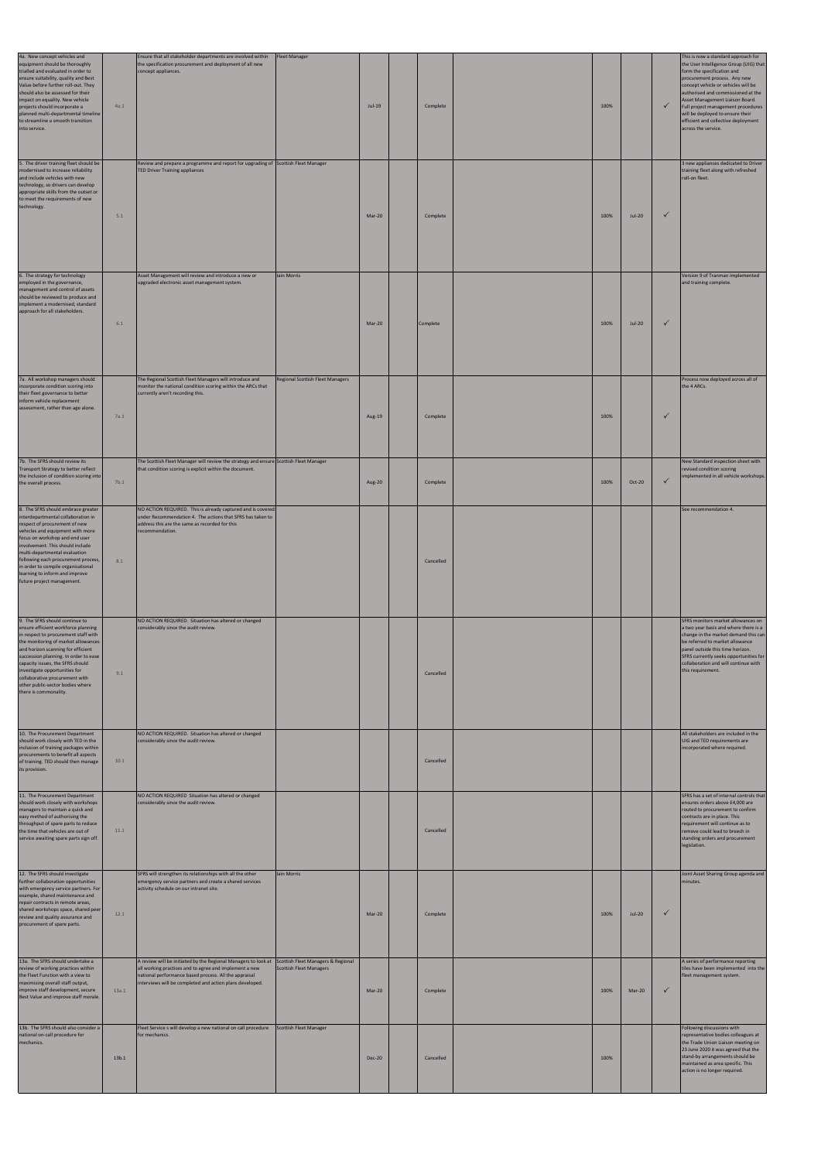| 4a. New concept vehicles and<br>equipment should be thoroughly<br>trialled and evaluated in order to<br>ensure suitability, quality and Best<br>Value before further roll-out. They<br>should also be assessed for their<br>impact on equality. New vehicle<br>projects should incorporate a<br>planned multi-departmental timeline<br>to streamline a smooth transition<br>into service.               | 4a.1  | Ensure that all stakeholder departments are involved within<br>the specification procurement and deployment of all new<br>concept appliances.                                                                                                                                    | <b>Fleet Manager</b>                    | $Jul-19$      | Complete  | 100% |               | $\checkmark$ | This is now a standard approach for<br>the User Intelligence Group (UIG) that<br>form the specification and<br>procurement process. Any new<br>concept vehicle or vehicles will be<br>authorised and commissioned at the<br>Asset Management Liaison Board.<br>Full project management procedures<br>will be deployed to ensure their<br>efficient and collective deployment<br>across the service. |
|---------------------------------------------------------------------------------------------------------------------------------------------------------------------------------------------------------------------------------------------------------------------------------------------------------------------------------------------------------------------------------------------------------|-------|----------------------------------------------------------------------------------------------------------------------------------------------------------------------------------------------------------------------------------------------------------------------------------|-----------------------------------------|---------------|-----------|------|---------------|--------------|-----------------------------------------------------------------------------------------------------------------------------------------------------------------------------------------------------------------------------------------------------------------------------------------------------------------------------------------------------------------------------------------------------|
| 5. The driver training fleet should be<br>modernised to increase reliability<br>and include vehicles with new<br>technology, so drivers can develop<br>appropriate skills from the outset or<br>to meet the requirements of new<br>technology.                                                                                                                                                          | 5.1   | Review and prepare a programme and report for upgrading of Scottish Fleet Manager<br><b>TED Driver Training appliances</b>                                                                                                                                                       |                                         | Mar-20        | Complete  | 100% | <b>Jul-20</b> | $\checkmark$ | 3 new appliances dedicated to Driver<br>training fleet along with refreshed<br>roll-on fleet.                                                                                                                                                                                                                                                                                                       |
| 6. The strategy for technology<br>employed in the governance,<br>management and control of assets<br>should be reviewed to produce and<br>implement a modernised, standard<br>approach for all stakeholders.                                                                                                                                                                                            | 6.1   | Asset Management will review and introduce a new or<br>upgraded electronic asset management system.                                                                                                                                                                              | Iain Morris                             | Mar-20        | Complete  | 100% | $Jul-20$      | $\checkmark$ | Version 9 of Tranman implemented<br>and training complete.                                                                                                                                                                                                                                                                                                                                          |
| 7a. All workshop managers should<br>incorporate condition scoring into<br>their fleet governance to better<br>inform vehicle replacement<br>assessment, rather than age alone.                                                                                                                                                                                                                          | 7a.1  | The Regional Scottish Fleet Managers will introduce and<br>monitor the national condition scoring within the ARCs that<br>currently aren't recording this.                                                                                                                       | <b>Regional Scottish Fleet Managers</b> | Aug-19        | Complete  | 100% |               | $\checkmark$ | Process now deployed across all of<br>the 4 ARCs.                                                                                                                                                                                                                                                                                                                                                   |
| 7b. The SFRS should review its<br>Transport Strategy to better reflect<br>the inclusion of condition scoring into<br>the overall process.                                                                                                                                                                                                                                                               | 7b.1  | The Scottish Fleet Manager will review the strategy and ensure Scottish Fleet Manager<br>that condition scoring is explicit within the document.                                                                                                                                 |                                         | Aug-20        | Complete  | 100% | Oct-20        | $\checkmark$ | New Standard inspection sheet with<br>revised condition scoring<br>implemented in all vehicle workshops.                                                                                                                                                                                                                                                                                            |
| 8. The SFRS should embrace greater<br>interdepartmental collaboration in<br>respect of procurement of new<br>vehicles and equipment with more<br>focus on workshop and end user<br>involvement. This should include<br>multi-departmental evaluation<br>following each procurement process,<br>in order to compile organisational<br>learning to inform and improve<br>future project management.       | 8.1   | NO ACTION REQUIRED. This is already captured and is covered<br>under Recommendation 4. The actions that SFRS has taken to<br>address this are the same as recorded for this<br>recommendation.                                                                                   |                                         |               | Cancelled |      |               |              | See recommendation 4.                                                                                                                                                                                                                                                                                                                                                                               |
| 9. The SFRS should continue to<br>ensure efficient workforce planning<br>in respect to procurement staff with<br>the monitoring of market allowances<br>and horizon scanning for efficient<br>succession planning. In order to ease<br>capacity issues, the SFRS should<br>investigate opportunities for<br>collaborative procurement with<br>other public-sector bodies where<br>there is commonality. | 9.1   | NO ACTION REQUIRED. Situation has altered or changed<br>considerably since the audit review.                                                                                                                                                                                     |                                         |               | Cancelled |      |               |              | SFRS monitors market allowances on<br>a two year basis and where there is a<br>change in the market demand this can<br>be referred to market allowance<br>panel outside this time horizon.<br>SFRS currently seeks opportunities for<br>collaboration and will continue with<br>this requirement.                                                                                                   |
| 10. The Procurement Department<br>should work closely with TED in the<br>inclusion of training packages within<br>procurements to benefit all aspects<br>of training. TED should then manage<br>its provision.                                                                                                                                                                                          | 10.1  | NO ACTION REQUIRED. Situation has altered or changed<br>considerably since the audit review.                                                                                                                                                                                     |                                         |               | Cancelled |      |               |              | All stakeholders are included in the<br>UIG and TED requirements are<br>incorporated where required.                                                                                                                                                                                                                                                                                                |
| 11. The Procurement Department<br>should work closely with workshops<br>managers to maintain a quick and<br>easy method of authorising the<br>throughput of spare parts to reduce<br>the time that vehicles are out of<br>service awaiting spare parts sign off.                                                                                                                                        | 11.1  | NO ACTION REQUIRED Situation has altered or changed<br>considerably since the audit review.                                                                                                                                                                                      |                                         |               | Cancelled |      |               |              | SFRS has a set of internal controls that<br>ensures orders above £4,000 are<br>routed to procurement to confirm<br>contracts are in place. This<br>requirement will continue as to<br>remove could lead to breech in<br>standing orders and procurement<br>legislation.                                                                                                                             |
| 12. The SFRS should investigate<br>further collaboration opportunities<br>with emergency service partners. For<br>example, shared maintenance and<br>repair contracts in remote areas,<br>shared workshops space, shared peer<br>review and quality assurance and<br>procurement of spare parts.                                                                                                        | 12.1  | SFRS will strengthen its relationships with all the other<br>emergency service partners and create a shared services<br>activity schedule on our intranet site.                                                                                                                  | Iain Morris                             | Mar-20        | Complete  | 100% | $Jul-20$      | $\checkmark$ | Joint Asset Sharing Group agenda and<br>minutes.                                                                                                                                                                                                                                                                                                                                                    |
| 13a. The SFRS should undertake a<br>review of working practices within<br>the Fleet Function with a view to<br>maximising overall staff output,<br>improve staff development, secure<br>Best Value and improve staff morale.                                                                                                                                                                            | 13a.1 | A review will be initiated by the Regional Managers to look at Scottish Fleet Managers & Regional<br>all working practices and to agree and implement a new<br>national performance based process. All the appraisal<br>interviews will be completed and action plans developed. | <b>Scottish Fleet Managers</b>          | Mar-20        | Complete  | 100% | Mar-20        | $\checkmark$ | A series of performance reporting<br>tiles have been implemented into the<br>fleet management system.                                                                                                                                                                                                                                                                                               |
| 13b. The SFRS should also consider a<br>national on-call procedure for<br>mechanics.                                                                                                                                                                                                                                                                                                                    | 13b.1 | Fleet Service s will develop a new national on call procedure<br>for mechanics.                                                                                                                                                                                                  | <b>Scottish Fleet Manager</b>           | <b>Dec-20</b> | Cancelled | 100% |               |              | Following discussions with<br>representative bodies colleagues at<br>the Trade Union Liaison meeting on<br>23 June 2020 it was agreed that the<br>stand-by arrangements should be<br>maintained as area specific. This<br>action is no longer required.                                                                                                                                             |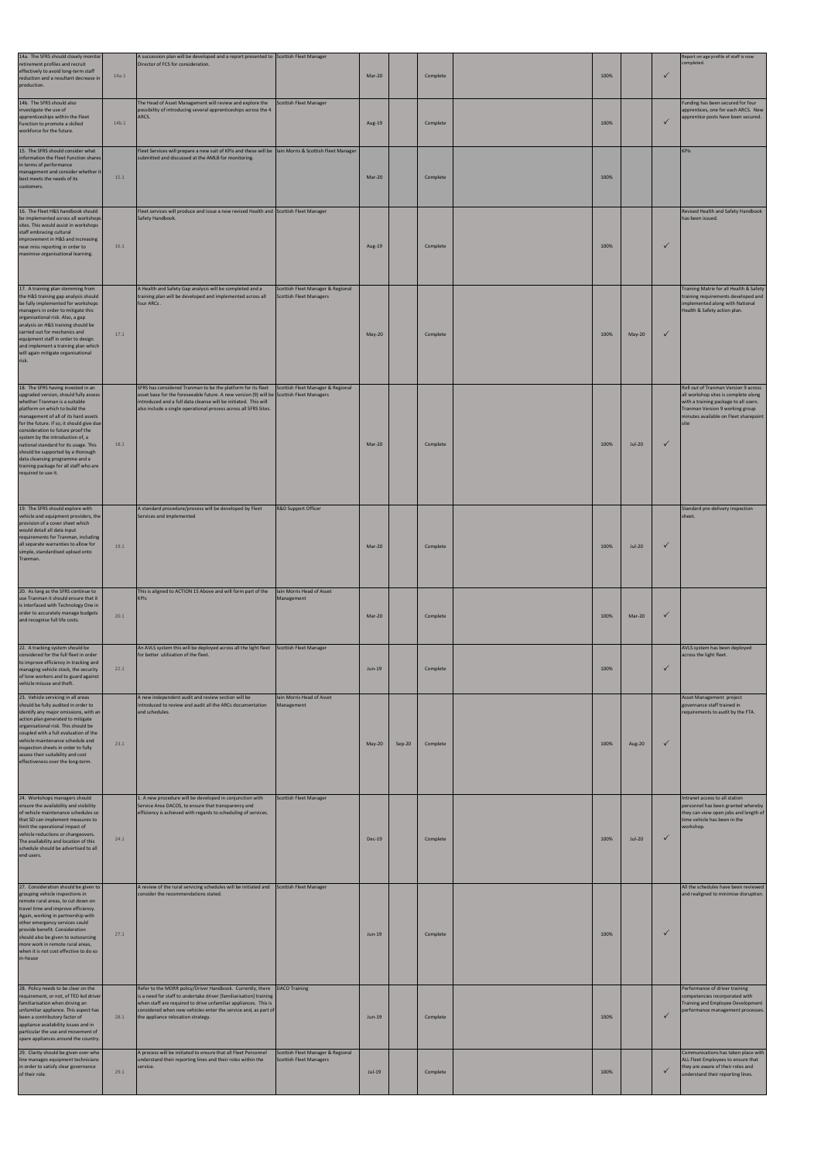| 14a. The SFRS should closely monitor<br>retirement profiles and recruit<br>effectively to avoid long-term staff<br>reduction and a resultant decrease in<br>production.                                                                                                                                                                                                                                                                                                                       | 14a.1 | A succession plan will be developed and a report presented to Scottish Fleet Manager<br>Director of FCS for consideration.                                                                                                                                                                      |                                                                     | Mar-20        |        | Complete | 100% |          | $\checkmark$ | Report on age profile of staff is now<br>completed.                                                                                                                                                       |
|-----------------------------------------------------------------------------------------------------------------------------------------------------------------------------------------------------------------------------------------------------------------------------------------------------------------------------------------------------------------------------------------------------------------------------------------------------------------------------------------------|-------|-------------------------------------------------------------------------------------------------------------------------------------------------------------------------------------------------------------------------------------------------------------------------------------------------|---------------------------------------------------------------------|---------------|--------|----------|------|----------|--------------|-----------------------------------------------------------------------------------------------------------------------------------------------------------------------------------------------------------|
| 14b. The SFRS should also<br>investigate the use of<br>apprenticeships within the Fleet<br>Function to promote a skilled<br>workforce for the future.                                                                                                                                                                                                                                                                                                                                         | 14b.1 | The Head of Asset Management will review and explore the<br>possibility of introducing several apprenticeships across the 4<br>ARCS.                                                                                                                                                            | <b>Scottish Fleet Manager</b>                                       | Aug-19        |        | Complete | 100% |          | $\checkmark$ | Funding has been secured for four<br>apprentices, one for each ARCS. New<br>apprentice posts have been secured.                                                                                           |
| 15. The SFRS should consider what<br>information the Fleet Function shares<br>in terms of performance<br>management and consider whether it<br>best meets the needs of its<br>customers.                                                                                                                                                                                                                                                                                                      | 15.1  | Fleet Services will prepare a new suit of KPIs and these will be lain Morris & Scottish Fleet Manager<br>submitted and discussed at the AMLB for monitoring.                                                                                                                                    |                                                                     | Mar-20        |        | Complete | 100% |          |              | <b>KPIs</b>                                                                                                                                                                                               |
| 16. The Fleet H&S handbook should<br>be implemented across all workshops<br>sites. This would assist in workshops<br>staff embracing cultural<br>improvement in H&S and increasing<br>near miss reporting in order to<br>maximise organisational learning.                                                                                                                                                                                                                                    | 16.1  | Fleet services will produce and issue a new revised Health and Scottish Fleet Manager<br>Safety Handbook.                                                                                                                                                                                       |                                                                     | Aug-19        |        | Complete | 100% |          | $\checkmark$ | Revised Health and Safety Handbook<br>has been issued.                                                                                                                                                    |
| 17. A training plan stemming from<br>the H&S training gap analysis should<br>be fully implemented for workshops<br>managers in order to mitigate this<br>organisational risk. Also, a gap<br>analysis on H&S training should be<br>carried out for mechanics and<br>equipment staff in order to design<br>and implement a training plan which<br>will again mitigate organisational<br>risk.                                                                                                  | 17.1  | A Health and Safety Gap analysis will be completed and a<br>training plan will be developed and implemented across all<br>four ARCs.                                                                                                                                                            | Scottish Fleet Manager & Regional<br><b>Scottish Fleet Managers</b> | $May-20$      |        | Complete | 100% | May-20   | $\checkmark$ | Training Matrix for all Health & Safety<br>training requirements developed and<br>implemented along with National<br>Health & Safety action plan.                                                         |
| 18. The SFRS having invested in an<br>upgraded version, should fully assess<br>whether Tranman is a suitable<br>platform on which to build the<br>management of all of its hard assets<br>for the future. If so, it should give due<br>consideration to future proof the<br>system by the introduction of, a<br>national standard for its usage. This<br>should be supported by a thorough<br>data cleansing programme and a<br>training package for all staff who are<br>required to use it. | 18.1  | SFRS has considered Tranman to be the platform for its fleet<br>asset base for the foreseeable future. A new version (9) will be Scottish Fleet Managers<br>introduced and a full data cleanse will be initiated. This will<br>also include a single operational process across all SFRS Sites. | Scottish Fleet Manager & Regional                                   | Mar-20        |        | Complete | 100% | $Jul-20$ | $\checkmark$ | Roll out of Tranman Version 9 across<br>all workshop sites is complete along<br>with a training package to all users.<br>Tranman Version 9 working group<br>minutes available on Fleet sharepoint<br>site |
| 19. The SFRS should explore with<br>vehicle and equipment providers, the<br>provision of a cover sheet which<br>would detail all data input<br>requirements for Tranman, including<br>all separate warranties to allow for<br>simple, standardised upload onto<br>Tranman.                                                                                                                                                                                                                    | 19.1  | A standard procedure/process will be developed by Fleet<br>Services and implemented                                                                                                                                                                                                             | R&D Support Officer                                                 | Mar-20        |        | Complete | 100% | $Jul-20$ | $\checkmark$ | Standard pre-delivery inspection<br>sheet.                                                                                                                                                                |
| 20. As long as the SFRS continue to<br>use Tranman it should ensure that it<br>is interfaced with Technology One in<br>order to accurately manage budgets<br>and recognise full life costs.                                                                                                                                                                                                                                                                                                   | 20.1  | This is aligned to ACTION 15 Above and will form part of the<br>KPIs                                                                                                                                                                                                                            | Iain Morris Head of Asset<br>Management                             | Mar-20        |        | Complete | 100% | Mar-20   | $\checkmark$ |                                                                                                                                                                                                           |
| 22. A tracking system should be<br>considered for the full fleet in order<br>to improve efficiency in tracking and<br>managing vehicle stock, the security<br>of lone workers and to guard against<br>vehicle misuse and theft.                                                                                                                                                                                                                                                               | 22.1  | An AVLS system this will be deployed across all the light fleet<br>for better utilisation of the fleet.                                                                                                                                                                                         | <b>Scottish Fleet Manager</b>                                       | Jun-19        |        | Complete | 100% |          | $\checkmark$ | AVLS system has been deployed<br>across the light fleet.                                                                                                                                                  |
| 23. Vehicle servicing in all areas<br>should be fully audited in order to<br>identify any major omissions, with an<br>action plan generated to mitigate<br>organisational risk. This should be<br>coupled with a full evaluation of the<br>vehicle maintenance schedule and<br>inspection sheets in order to fully<br>assess their suitability and cost<br>effectiveness over the long-term.                                                                                                  | 23.1  | A new independent audit and review section will be<br>introduced to review and audit all the ARCs documentation<br>and schedules.                                                                                                                                                               | Iain Morris Head of Asset<br>Management                             | $May-20$      | Sep-20 | Complete | 100% | Aug-20   | $\checkmark$ | Asset Management project<br>governance staff trained in<br>requirements to audit by the FTA.                                                                                                              |
| 24. Workshops managers should<br>ensure the availability and visibility<br>of vehicle maintenance schedules so<br>that SD can implement measures to<br>limit the operational impact of<br>vehicle reductions or changeovers.<br>The availability and location of this<br>schedule should be advertised to all<br>end users.                                                                                                                                                                   | 24.1  | 1. A new procedure will be developed in conjunction with<br>Service Area DACOS, to ensure that transparency and<br>efficiency is achieved with regards to scheduling of services.                                                                                                               | <b>Scottish Fleet Manager</b>                                       | <b>Dec-19</b> |        | Complete | 100% | $Jul-20$ | $\checkmark$ | Intranet access to all station<br>personnel has been granted whereby<br>they can view open jobs and length of<br>time vehicle has been in the<br>workshop.                                                |

| 27. Consideration should be given to<br>grouping vehicle inspections in<br>remote rural areas, to cut down on<br>travel time and improve efficiency.<br>Again, working in partnership with<br>other emergency services could<br>provide benefit. Consideration<br>should also be given to outsourcing<br>more work in remote rural areas,<br>when it is not cost effective to do so<br>in-house | 27.1 | A review of the rural servicing schedules will be initiated and<br>consider the recommendations stated.                                                                                                                                                                                                     | <b>Scottish Fleet Manager</b>                                       | $Jun-19$ | Complete | 100% | $\checkmark$ | All the schedules have been reviewed<br>and realigned to minimise disruption.                                                                       |
|-------------------------------------------------------------------------------------------------------------------------------------------------------------------------------------------------------------------------------------------------------------------------------------------------------------------------------------------------------------------------------------------------|------|-------------------------------------------------------------------------------------------------------------------------------------------------------------------------------------------------------------------------------------------------------------------------------------------------------------|---------------------------------------------------------------------|----------|----------|------|--------------|-----------------------------------------------------------------------------------------------------------------------------------------------------|
| 28. Policy needs to be clear on the<br>requirement, or not, of TED led driver<br>familiarisation when driving an<br>unfamiliar appliance. This aspect has<br>been a contributory factor of<br>appliance availability issues and in<br>particular the use and movement of<br>spare appliances around the country                                                                                 | 28.1 | Refer to the MORR policy/Driver Handbook. Currently, there<br>is a need for staff to undertake driver [familiarisation] training<br>when staff are required to drive unfamiliar appliances. This is<br>considered when new vehicles enter the service and, as part of<br>the appliance relocation strategy. | <b>DACO Training</b>                                                | $Jun-19$ | Complete | 100% | $\checkmark$ | Performance of driver training<br>competencies incorporated with<br>Training and Employee Development<br>performance management processes.          |
| 29. Clarity should be given over who<br>line manages equipment technicians<br>in order to satisfy clear governance<br>of their role.                                                                                                                                                                                                                                                            | 29.1 | A process will be initiated to ensure that all Fleet Personnel<br>understand their reporting lines and their roles within the<br>service.                                                                                                                                                                   | Scottish Fleet Manager & Regional<br><b>Scottish Fleet Managers</b> | $Jul-19$ | Complete | 100% | $\checkmark$ | Communications has taken place with<br>ALL Fleet Employees to ensure that<br>they are aware of their roles and<br>understand their reporting lines. |